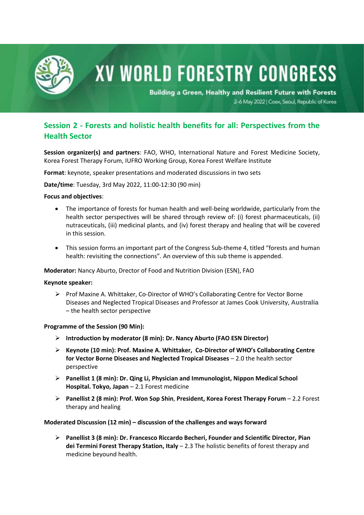

# **XV WORLD FORESTRY CONGRESS**

Building a Green, Healthy and Resilient Future with Forests 2-6 May 2022 | Coex, Seoul, Republic of Korea

# **Session 2 - Forests and holistic health benefits for all: Perspectives from the Health Sector**

**Session organizer(s) and partners**: FAO, WHO, International Nature and Forest Medicine Society, Korea Forest Therapy Forum, IUFRO Working Group, Korea Forest Welfare Institute

**Format**: keynote, speaker presentations and moderated discussions in two sets

**Date/time**: Tuesday, 3rd May 2022, 11:00-12:30 (90 min)

## **Focus and objectives**:

- The importance of forests for human health and well-being worldwide, particularly from the health sector perspectives will be shared through review of: (i) forest pharmaceuticals, (ii) nutraceuticals, (iii) medicinal plants, and (iv) forest therapy and healing that will be covered in this session.
- This session forms an important part of the Congress Sub-theme 4, titled "forests and human health: revisiting the connections". An overview of this sub theme is appended.

**Moderator:** Nancy Aburto, Drector of Food and Nutrition Division (ESN), FAO

#### **Keynote speaker:**

➢ Prof Maxine A. Whittaker, Co-Director of WHO's Collaborating Centre for Vector Borne Diseases and Neglected Tropical Diseases and Professor at James Cook University, **Australia** – the health sector perspective

# **Programme of the Session (90 Min):**

- ➢ **Introduction by moderator (8 min): Dr. Nancy Aburto (FAO ESN Director)**
- ➢ **Keynote (10 min): Prof. Maxine A. Whittaker, Co-Director of WHO's Collaborating Centre for Vector Borne Diseases and Neglected Tropical Diseases** – 2.0 the health sector perspective
- ➢ **Panellist 1 (8 min): Dr. Qing Li, Physician and Immunologist, Nippon Medical School Hospital. Tokyo, Japan** – 2.1 Forest medicine
- ➢ **Panellist 2 (8 min): Prof. Won Sop Shin**, **President, Korea Forest Therapy Forum** 2.2 Forest therapy and healing

#### **Moderated Discussion (12 min) – discussion of the challenges and ways forward**

➢ **Panellist 3 (8 min): Dr. Francesco Riccardo Becheri, Founder and Scientific Director, Pian dei Termini Forest Therapy Station, Italy** – 2.3 The holistic benefits of forest therapy and medicine beyound health.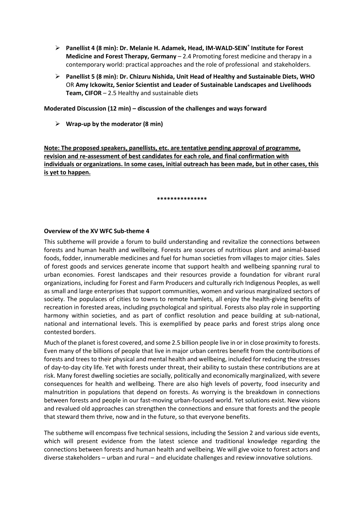- ➢ **Panellist 4 (8 min): Dr. Melanie H. Adamek, Head, IM-WALD-SEIN® Institute for Forest Medicine and Forest Therapy, Germany** - 2.4 Promoting forest medicine and therapy in a contemporary world: practical approaches and the role of professional and stakeholders.
- ➢ **Panellist 5 (8 min): Dr. Chizuru Nishida, Unit Head of Healthy and Sustainable Diets, WHO** OR **Amy Ickowitz, Senior Scientist and Leader of Sustainable Landscapes and Livelihoods Team, CIFOR** – 2.5 Healthy and sustainable diets

**Moderated Discussion (12 min) – discussion of the challenges and ways forward** 

➢ **Wrap-up by the moderator (8 min)** 

**Note: The proposed speakers, panellists, etc. are tentative pending approval of programme, revision and re-assessment of best candidates for each role, and final confirmation with individuals or organizations. In some cases, initial outreach has been made, but in other cases, this is yet to happen.**

#### **\*\*\*\*\*\*\*\*\*\*\*\*\*\*\***

## **Overview of the XV WFC Sub-theme 4**

This subtheme will provide a forum to build understanding and revitalize the connections between forests and human health and wellbeing. Forests are sources of nutritious plant and animal-based foods, fodder, innumerable medicines and fuel for human societies from villages to major cities. Sales of forest goods and services generate income that support health and wellbeing spanning rural to urban economies. Forest landscapes and their resources provide a foundation for vibrant rural organizations, including for Forest and Farm Producers and culturally rich Indigenous Peoples, as well as small and large enterprises that support communities, women and various marginalized sectors of society. The populaces of cities to towns to remote hamlets, all enjoy the health-giving benefits of recreation in forested areas, including psychological and spiritual. Forests also play role in supporting harmony within societies, and as part of conflict resolution and peace building at sub-national, national and international levels. This is exemplified by peace parks and forest strips along once contested borders.

Much of the planet is forest covered, and some 2.5 billion people live in or in close proximity to forests. Even many of the billions of people that live in major urban centres benefit from the contributions of forests and trees to their physical and mental health and wellbeing, included for reducing the stresses of day-to-day city life. Yet with forests under threat, their ability to sustain these contributions are at risk. Many forest dwelling societies are socially, politically and economically marginalized, with severe consequences for health and wellbeing. There are also high levels of poverty, food insecurity and malnutrition in populations that depend on forests. As worrying is the breakdown in connections between forests and people in our fast-moving urban-focused world. Yet solutions exist. New visions and revalued old approaches can strengthen the connections and ensure that forests and the people that steward them thrive, now and in the future, so that everyone benefits.

The subtheme will encompass five technical sessions, including the Session 2 and various side events, which will present evidence from the latest science and traditional knowledge regarding the connections between forests and human health and wellbeing. We will give voice to forest actors and diverse stakeholders – urban and rural – and elucidate challenges and review innovative solutions.